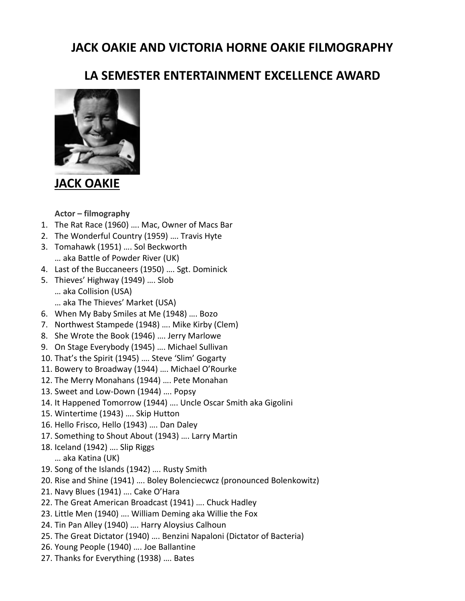## **JACK OAKIE AND VICTORIA HORNE OAKIE FILMOGRAPHY**

## **LA SEMESTER ENTERTAINMENT EXCELLENCE AWARD**



**JACK [OAKIE](http://www.imdb.com/name/nm0642988/#soundtrack1960)**

**Actor – filmography**

- 1. The Rat Race (1960) …. Mac, Owner of Macs Bar
- 2. The Wonderful Country (1959) …. Travis Hyte
- 3. Tomahawk (1951) …. Sol Beckworth
	- … aka Battle of Powder River (UK)
- 4. Last of the Buccaneers (1950) …. Sgt. Dominick
- 5. Thieves' Highway (1949) …. Slob … aka Collision (USA)
	- … aka The Thieves' Market (USA)
- 6. When My Baby Smiles at Me (1948) …. Bozo
- 7. Northwest Stampede (1948) …. Mike Kirby (Clem)
- 8. She Wrote the Book (1946) …. Jerry Marlowe
- 9. On Stage Everybody (1945) …. Michael Sullivan
- 10. That's the Spirit (1945) …. Steve 'Slim' Gogarty
- 11. Bowery to Broadway (1944) …. Michael O'Rourke
- 12. The Merry Monahans (1944) …. Pete Monahan
- 13. Sweet and Low-Down (1944) …. Popsy
- 14. It Happened Tomorrow (1944) …. Uncle Oscar Smith aka Gigolini
- 15. Wintertime (1943) …. Skip Hutton
- 16. Hello Frisco, Hello (1943) …. Dan Daley
- 17. Something to Shout About (1943) …. Larry Martin
- 18. Iceland (1942) …. Slip Riggs
	- … aka Katina (UK)
- 19. Song of the Islands (1942) …. Rusty Smith
- 20. Rise and Shine (1941) …. Boley Bolenciecwcz (pronounced Bolenkowitz)
- 21. Navy Blues (1941) …. Cake O'Hara
- 22. The Great American Broadcast (1941) …. Chuck Hadley
- 23. Little Men (1940) …. William Deming aka Willie the Fox
- 24. Tin Pan Alley (1940) …. Harry Aloysius Calhoun
- 25. The Great Dictator (1940) …. Benzini Napaloni (Dictator of Bacteria)
- 26. Young People (1940) …. Joe Ballantine
- 27. Thanks for Everything (1938) …. Bates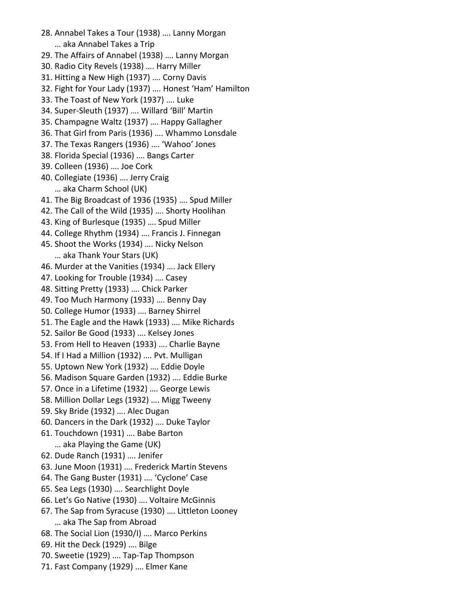- 28. Annabel Takes a Tour (1938) …. Lanny Morgan … aka Annabel Takes a Trip
- 29. The Affairs of Annabel (1938) …. Lanny Morgan
- 30. Radio City Revels (1938) …. Harry Miller
- 31. Hitting a New High (1937) …. Corny Davis
- 32. Fight for Your Lady (1937) …. Honest 'Ham' Hamilton
- 33. The Toast of New York (1937) …. Luke
- 34. Super-Sleuth (1937) …. Willard 'Bill' Martin
- 35. Champagne Waltz (1937) …. Happy Gallagher
- 36. That Girl from Paris (1936) …. Whammo Lonsdale
- 37. The Texas [Rangers](http://mgm.imdb.com/title/tt0028352/) (1936) …. 'Wahoo' Jones
- 38. Florida Special (1936) …. Bangs Carter
- 39. Colleen (1936) …. Joe Cork
- 40. Collegiate (1936) …. Jerry Craig … aka Charm School (UK)
- 41. The Big Broadcast of 1936 (1935) …. Spud Miller
- 42. The Call of the Wild (1935) …. Shorty Hoolihan
- 43. King of Burlesque (1935) …. Spud Miller
- 44. College Rhythm (1934) …. Francis J. Finnegan
- 45. Shoot the Works (1934) …. Nicky Nelson … aka Thank Your Stars (UK)
- 46. Murder at the Vanities (1934) …. Jack Ellery
- 47. Looking for Trouble (1934) …. Casey
- 48. Sitting Pretty (1933) …. Chick Parker
- 49. Too Much Harmony (1933) …. Benny Day
- 50. College Humor (1933) …. Barney Shirrel
- 51. The Eagle and the Hawk (1933) …. Mike Richards
- 52. Sailor Be Good (1933) …. Kelsey Jones
- 53. From Hell to Heaven (1933) …. Charlie Bayne
- 54. If I Had a Million (1932) …. Pvt. Mulligan
- 55. Uptown New York (1932) …. Eddie Doyle
- 56. Madison Square Garden (1932) …. Eddie Burke
- 57. Once in a Lifetime (1932) …. George Lewis
- 58. Million Dollar Legs (1932) …. Migg Tweeny
- 59. Sky Bride (1932) …. Alec Dugan
- 60. Dancers in the Dark (1932) …. Duke Taylor
- 61. Touchdown (1931) …. Babe Barton … aka Playing the Game (UK)
- 62. Dude Ranch (1931) …. Jenifer
- 63. June Moon (1931) …. Frederick Martin Stevens
- 64. The Gang Buster (1931) …. 'Cyclone' Case
- 65. Sea Legs (1930) …. Searchlight Doyle
- 66. Let's Go Native (1930) …. Voltaire McGinnis
- 67. The Sap from Syracuse (1930) …. Littleton Looney … aka The Sap from Abroad
- 68. The Social Lion (1930/I) …. Marco Perkins
- 69. Hit the Deck (1929) …. Bilge
- 70. Sweetie (1929) …. Tap-Tap Thompson
- 71. Fast [Company](http://mgm.imdb.com/title/tt0019871/) (1929) …. Elmer Kane